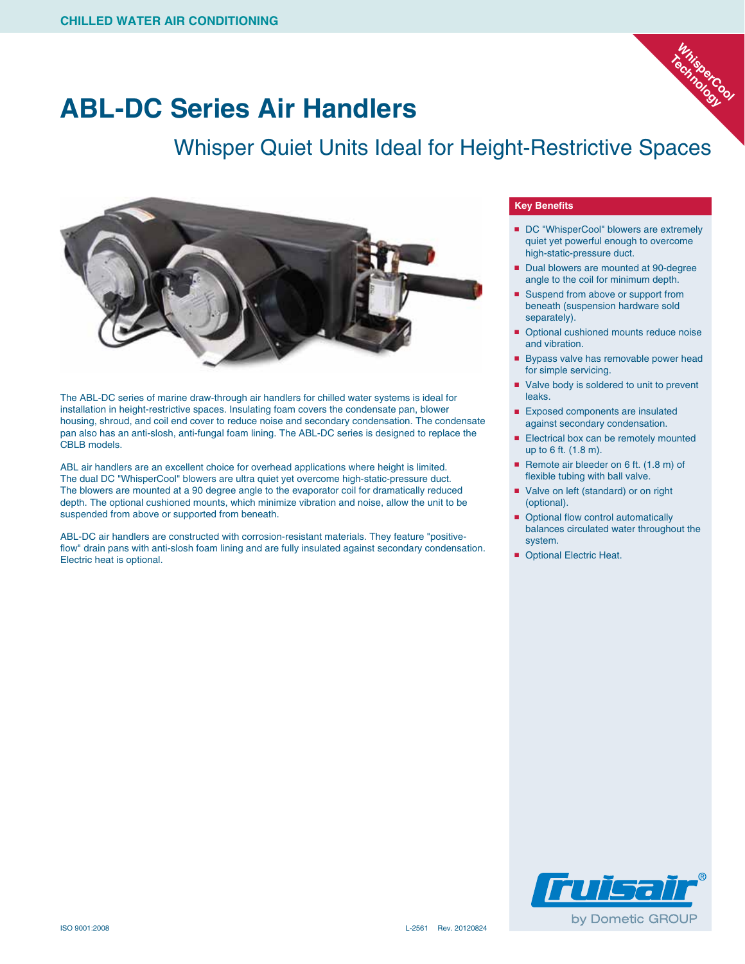

## **ABL-DC Series Air Handlers**

## Whisper Quiet Units Ideal for Height-Restrictive Spaces



The ABL-DC series of marine draw-through air handlers for chilled water systems is ideal for installation in height-restrictive spaces. Insulating foam covers the condensate pan, blower housing, shroud, and coil end cover to reduce noise and secondary condensation. The condensate pan also has an anti-slosh, anti-fungal foam lining. The ABL-DC series is designed to replace the CBLB models.

ABL air handlers are an excellent choice for overhead applications where height is limited. The dual DC "WhisperCool" blowers are ultra quiet yet overcome high-static-pressure duct. The blowers are mounted at a 90 degree angle to the evaporator coil for dramatically reduced depth. The optional cushioned mounts, which minimize vibration and noise, allow the unit to be suspended from above or supported from beneath.

ABL-DC air handlers are constructed with corrosion-resistant materials. They feature "positiveflow" drain pans with anti-slosh foam lining and are fully insulated against secondary condensation. Electric heat is optional.

## **Key Benefits**

- DC "WhisperCool" blowers are extremely quiet yet powerful enough to overcome high-static-pressure duct.
- Dual blowers are mounted at 90-degree angle to the coil for minimum depth.
- Suspend from above or support from beneath (suspension hardware sold separately).
- Optional cushioned mounts reduce noise and vibration.
- Bypass valve has removable power head for simple servicing.
- Valve body is soldered to unit to prevent leaks.
- Exposed components are insulated against secondary condensation.
- Electrical box can be remotely mounted up to 6 ft. (1.8 m).
- Remote air bleeder on 6 ft. (1.8 m) of flexible tubing with ball valve.
- Valve on left (standard) or on right (optional).
- Optional flow control automatically balances circulated water throughout the system.
- Optional Electric Heat.